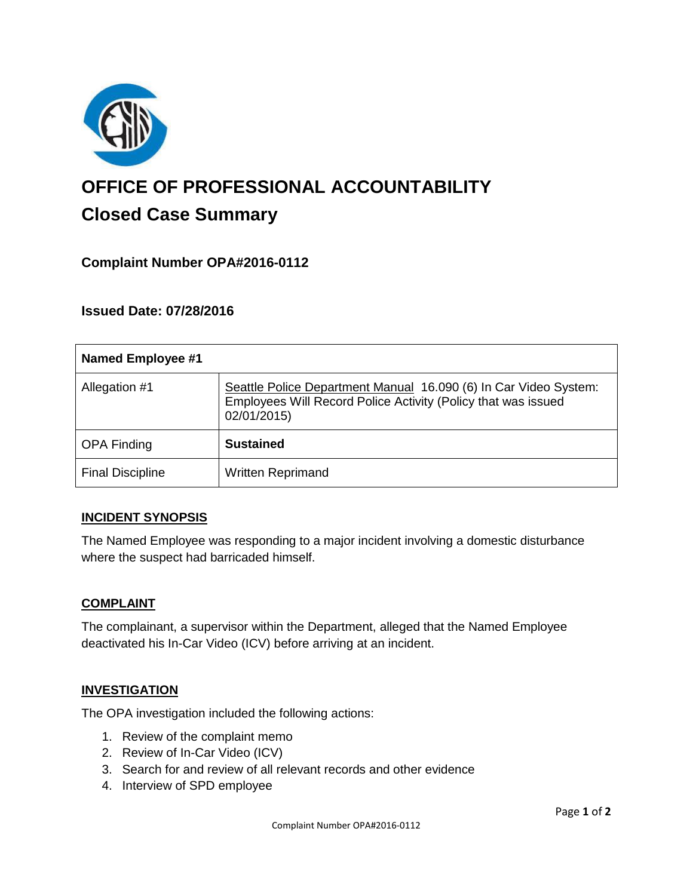

# **OFFICE OF PROFESSIONAL ACCOUNTABILITY Closed Case Summary**

# **Complaint Number OPA#2016-0112**

**Issued Date: 07/28/2016**

| <b>Named Employee #1</b> |                                                                                                                                                  |
|--------------------------|--------------------------------------------------------------------------------------------------------------------------------------------------|
| Allegation #1            | Seattle Police Department Manual 16.090 (6) In Car Video System:<br>Employees Will Record Police Activity (Policy that was issued<br>02/01/2015) |
| <b>OPA Finding</b>       | <b>Sustained</b>                                                                                                                                 |
| <b>Final Discipline</b>  | <b>Written Reprimand</b>                                                                                                                         |

#### **INCIDENT SYNOPSIS**

The Named Employee was responding to a major incident involving a domestic disturbance where the suspect had barricaded himself.

#### **COMPLAINT**

The complainant, a supervisor within the Department, alleged that the Named Employee deactivated his In-Car Video (ICV) before arriving at an incident.

#### **INVESTIGATION**

The OPA investigation included the following actions:

- 1. Review of the complaint memo
- 2. Review of In-Car Video (ICV)
- 3. Search for and review of all relevant records and other evidence
- 4. Interview of SPD employee